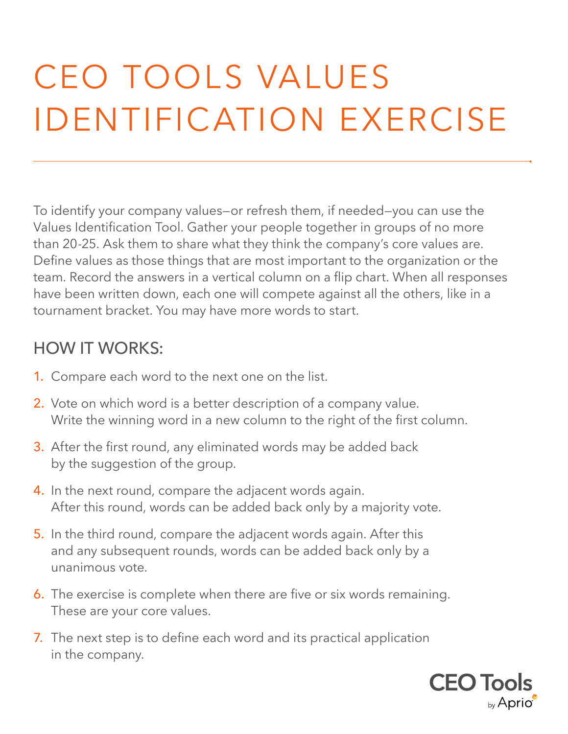## CEO TOOLS VALUES IDENTIFICATION EXERCISE

To identify your company values—or refresh them, if needed—you can use the Values Identification Tool. Gather your people together in groups of no more than 20-25. Ask them to share what they think the company's core values are. Define values as those things that are most important to the organization or the team. Record the answers in a vertical column on a flip chart. When all responses have been written down, each one will compete against all the others, like in a tournament bracket. You may have more words to start.

## HOW IT WORKS:

- 1.Compare each word to the next one on the list.
- 2. Vote on which word is a better description of a company value. Write the winning word in a new column to the right of the first column.
- 3. After the first round, any eliminated words may be added back by the suggestion of the group.
- 4. In the next round, compare the adjacent words again. After this round, words can be added back only by a majority vote.
- 5.In the third round, compare the adjacent words again. After this and any subsequent rounds, words can be added back only by a unanimous vote.
- 6.The exercise is complete when there are five or six words remaining. These are your core values.
- 7.The next step is to define each word and its practical application in the company.

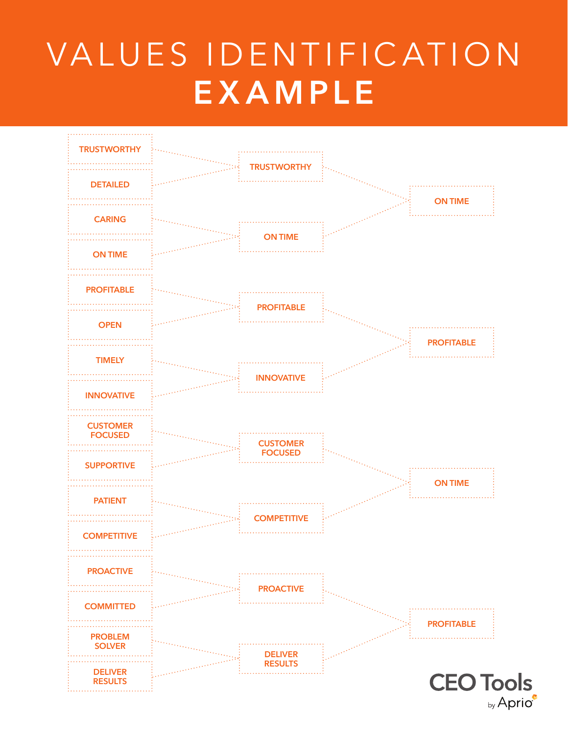## VALUES IDENTIFICATION **EXAMPLE**